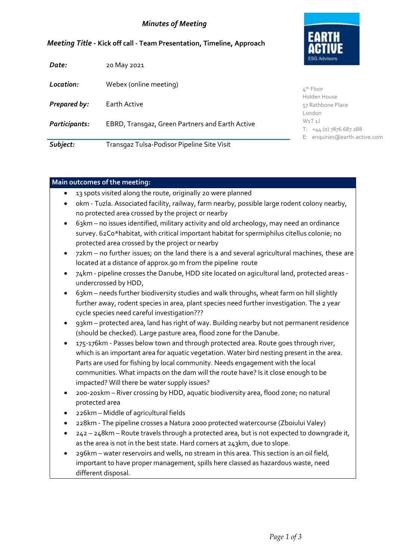## *Minutes of Meeting*

| <b>ESG Advisors</b> |
|---------------------|

#### *Meeting Title -* **Kick off call - Team Presentation, Timeline, Approach**

| Date:         | 20 May 2021                                     |                                                                       |
|---------------|-------------------------------------------------|-----------------------------------------------------------------------|
| Location:     | Webex (online meeting)                          | $4th$ Floor                                                           |
| Prepared by:  | Earth Active                                    | Holden House<br>57 Rathbone Place<br>London                           |
| Participants: | EBRD, Transgaz, Green Partners and Earth Active | $W_1T_1$<br>$T: +44(0)$ 7876 687 288<br>E: enquiries@earth-active.com |
| Subject:      | Transgaz Tulsa-Podisor Pipeline Site Visit      |                                                                       |

#### **Main outcomes of the meeting:**

- 13 spots visited along the route, originally 20 were planned
- 0km Tuzla. Associated facility, railway, farm nearby, possible large rodent colony nearby, no protected area crossed by the project or nearby
- 63km no issues identified, military activity and old archeology, may need an ordinance survey. 62C0\*habitat, with critical important habitat for spermiphilus citellus colonie; no protected area crossed by the project or nearby
- 72km no further issues; on the land there is a and several agricultural machines, these are located at a distance of approx.90 m from the pipeline route
- 74km pipeline crosses the Danube, HDD site located on agicultural land, protected areas undercrossed by HDD,
- 63km needs further biodiversity studies and walk throughs, wheat farm on hill slightly further away, rodent species in area, plant species need further investigation. The 2 year cycle species need careful investigation???
- 93km protected area, land has right of way. Building nearby but not permanent residence (should be checked). Large pasture area, flood zone for the Danube.
- 175-176km Passes below town and through protected area. Route goes through river, which is an important area for aquatic vegetation. Water bird nesting present in the area. Parts are used for fishing by local community. Needs engagement with the local communities. What impacts on the dam will the route have? Is it close enough to be impacted? Will there be water supply issues?
- 200-201km River crossing by HDD, aquatic biodiversity area, flood zone; no natural protected area
- 226km Middle of agricultural fields
- 228km The pipeline crosses a Natura 2000 protected watercourse (Zboiului Valey)
- 242 248km Route travels through a protected area, but is not expected to downgrade it, as the area is not in the best state. Hard corners at 243km, due to slope.
- 296km water reservoirs and wells, no stream in this area. This section is an oil field, important to have proper management, spills here classed as hazardous waste, need different disposal.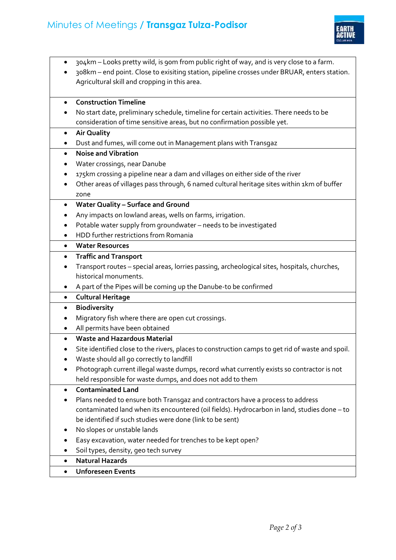

- 304km Looks pretty wild, is 90m from public right of way, and is very close to a farm.
- 308km end point. Close to exisiting station, pipeline crosses under BRUAR, enters station. Agricultural skill and cropping in this area.

# **Construction Timeline**

 No start date, preliminary schedule, timeline for certain activities. There needs to be consideration of time sensitive areas, but no confirmation possible yet.

## **Air Quality**

Dust and fumes, will come out in Management plans with Transgaz

# **Noise and Vibration**

- Water crossings, near Danube
- 175km crossing a pipeline near a dam and villages on either side of the river
- Other areas of villages pass through, 6 named cultural heritage sites within 1km of buffer zone

## **Water Quality – Surface and Ground**

- Any impacts on lowland areas, wells on farms, irrigation.
- Potable water supply from groundwater needs to be investigated
- HDD further restrictions from Romania

#### **Water Resources**

## **Traffic and Transport**

- Transport routes special areas, lorries passing, archeological sites, hospitals, churches, historical monuments.
- A part of the Pipes will be coming up the Danube-to be confirmed

## **Cultural Heritage**

- **Biodiversity**
- Migratory fish where there are open cut crossings.
- All permits have been obtained
- **Waste and Hazardous Material**
- Site identified close to the rivers, places to construction camps to get rid of waste and spoil.
- Waste should all go correctly to landfill
- Photograph current illegal waste dumps, record what currently exists so contractor is not held responsible for waste dumps, and does not add to them
- **Contaminated Land**
- Plans needed to ensure both Transgaz and contractors have a process to address contaminated land when its encountered (oil fields). Hydrocarbon in land, studies done – to be identified if such studies were done (link to be sent)
- No slopes or unstable lands
- Easy excavation, water needed for trenches to be kept open?
- Soil types, density, geo tech survey
- **Natural Hazards**

## **Unforeseen Events**